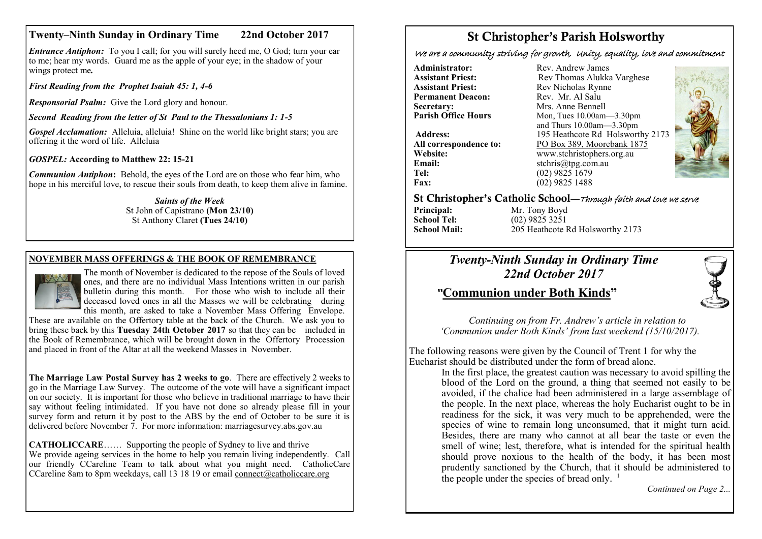# **Twenty–Ninth Sunday in Ordinary Time 22nd October 2017**

*Entrance Antiphon:* To you I call; for you will surely heed me, O God; turn your ear to me; hear my words. Guard me as the apple of your eye; in the shadow of your wings protect me*.*

*First Reading from the Prophet Isaiah 45: 1, 4-6*

*Responsorial Psalm:* Give the Lord glory and honour.

*Second Reading from the letter of St Paul to the Thessalonians 1: 1-5*

*Gospel Acclamation:* Alleluia, alleluia! Shine on the world like bright stars: you are offering it the word of life. Alleluia

*GOSPEL:* **According to Matthew 22: 15-21**

*Communion Antiphon***:** Behold, the eyes of the Lord are on those who fear him, who hope in his merciful love, to rescue their souls from death, to keep them alive in famine.

> *Saints of the Week* St John of Capistrano **(Mon 23/10)**  St Anthony Claret **(Tues 24/10)**

# **NOVEMBER MASS OFFERINGS & THE BOOK OF REMEMBRANCE**



The month of November is dedicated to the repose of the Souls of loved ones, and there are no individual Mass Intentions written in our parish bulletin during this month. For those who wish to include all their deceased loved ones in all the Masses we will be celebrating during this month, are asked to take a November Mass Offering Envelope.

These are available on the Offertory table at the back of the Church. We ask you to bring these back by this **Tuesday 24th October 2017** so that they can be included in the Book of Remembrance, which will be brought down in the Offertory Procession and placed in front of the Altar at all the weekend Masses in November.

**The Marriage Law Postal Survey has 2 weeks to go**. There are effectively 2 weeks to go in the Marriage Law Survey. The outcome of the vote will have a significant impact on our society. It is important for those who believe in traditional marriage to have their say without feeling intimidated. If you have not done so already please fill in your survey form and return it by post to the ABS by the end of October to be sure it is delivered before November 7. For more information: marriagesurvey.abs.gov.au

**CATHOLICCARE**…… Supporting the people of Sydney to live and thrive We provide ageing services in the home to help you remain living independently. Call our friendly CCareline Team to talk about what you might need. CatholicCare CCareline 8am to 8pm weekdays, call 13 18 19 or email [connect@catholiccare.org](mailto:connect@catholiccare.org)

# St Christopher's Parish Holsworthy

We are a community striving for growth, Unity, equality, love and commitment

**Administrator:** Rev. Andrew James<br> **Assistant Priest:** Rev. Thomas Alukka **Permanent Deacon:**<br>Secretary: **Secretary:** Mrs. Anne Bennell<br> **Parish Office Hours** Mon. Tues 10.00am-

**Email:** stchris@tpg.com.au<br> **Tel:** (02) 9825 1679 **Fax:** (02) 9825 1488

**Assistant Priest: Rev Thomas Alukka Varghese**<br>**Assistant Priest: Rev Nicholas Rynne** Rev Nicholas Rynne<br>Rev Mr Al Salu **Parish Office Hours** Mon, Tues 10.00am—3.30pm and Thurs 10.00am—3.30pm **Address:** 195 Heathcote Rd Holsworthy 2173 **All correspondence to:** PO Box 389, Moorebank 1875<br>Website: www.stchristophers.org.au **Website:** www.stchristophers.org.au<br> **Email:** stchris@tng.com au **Tel:** (02) 9825 1679



## St Christopher's Catholic School—Through faith and love we serve

**Principal:** Mr. Tony Boyd<br> **School Tel:** (02) 9825 3251 **School Tel:** (02) 9825 3251<br>**School Mail:** 205 Heathcote I

**School Mail:** 205 Heathcote Rd Holsworthy 2173

# *Twenty-Ninth Sunday in Ordinary Time 22nd October 2017*

# *"***Communion under Both Kinds"**



 *Continuing on from Fr. Andrew's article in relation to 'Communion under Both Kinds' from last weekend (15/10/2017).*

The following reasons were given by the Council of Trent 1 for why the Eucharist should be distributed under the form of bread alone.

In the first place, the greatest caution was necessary to avoid spilling the blood of the Lord on the ground, a thing that seemed not easily to be avoided, if the chalice had been administered in a large assemblage of the people. In the next place, whereas the holy Eucharist ought to be in readiness for the sick, it was very much to be apprehended, were the species of wine to remain long unconsumed, that it might turn acid. Besides, there are many who cannot at all bear the taste or even the smell of wine; lest, therefore, what is intended for the spiritual health should prove noxious to the health of the body, it has been most prudently sanctioned by the Church, that it should be administered to the people under the species of bread only.  $1$ 

*Continued on Page 2...*